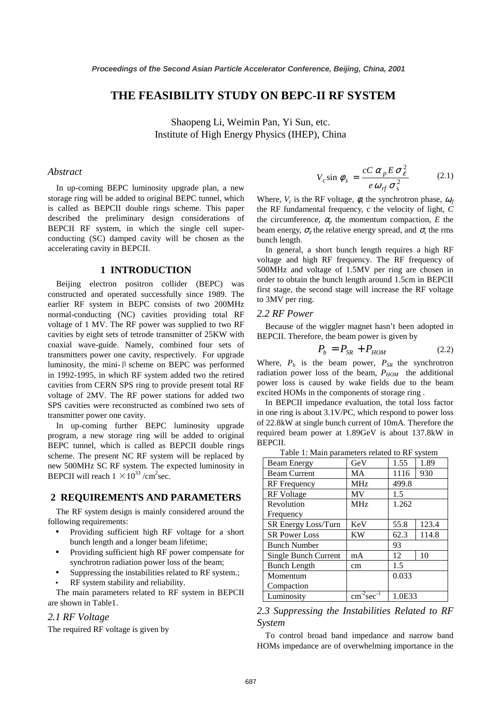## **THE FEASIBILITY STUDY ON BEPC-II RF SYSTEM**

Shaopeng Li, Weimin Pan, Yi Sun, etc. Institute of High Energy Physics (IHEP), China

#### *Abstract*

In up-coming BEPC luminosity upgrade plan, a new storage ring will be added to original BEPC tunnel, which is called as BEPCII double rings scheme. This paper described the preliminary design considerations of BEPCII RF system, in which the single cell superconducting (SC) damped cavity will be chosen as the accelerating cavity in BEPCII.

#### **1 INTRODUCTION**

Beijing electron positron collider (BEPC) was constructed and operated successfully since 1989. The earlier RF system in BEPC consists of two 200MHz normal-conducting (NC) cavities providing total RF voltage of 1 MV. The RF power was supplied to two RF cavities by eight sets of tetrode transmitter of 25KW with coaxial wave-guide. Namely, combined four sets of transmitters power one cavity, respectively. For upgrade luminosity, the mini- $\beta$  scheme on BEPC was performed in 1992-1995, in which RF system added two the retired cavities from CERN SPS ring to provide present total RF voltage of 2MV. The RF power stations for added two SPS cavities were reconstructed as combined two sets of transmitter power one cavity.

In up-coming further BEPC luminosity upgrade program, a new storage ring will be added to original BEPC tunnel, which is called as BEPCII double rings scheme. The present NC RF system will be replaced by new 500MHz SC RF system. The expected luminosity in BEPCII will reach  $1 \times 10^{33}$  /cm<sup>2</sup>sec.

#### **2 REQUIREMENTS AND PARAMETERS**

The RF system design is mainly considered around the following requirements:

- Providing sufficient high RF voltage for a short bunch length and a longer beam lifetime;
- Providing sufficient high RF power compensate for synchrotron radiation power loss of the beam;
- Suppressing the instabilities related to RF system.; RF system stability and reliability.

The main parameters related to RF system in BEPCII are shown in Table1.

#### *2.1 RF Voltage*

The required RF voltage is given by

$$
V_c \sin \phi_s = \frac{cC \alpha_p E \sigma_\varepsilon^2}{e \omega_{rf} \sigma_s^2}
$$
 (2.1)

Where,  $V_c$  is the RF voltage,  $\phi_s$  the synchrotron phase,  $\omega_f$ the RF fundamental frequency, c the velocity of light, *C* the circumference,  $\alpha_p$  the momentum compaction, *E* the beam energy,  $\sigma_{\varepsilon}$  the relative energy spread, and  $\sigma_{\varepsilon}$  the rms bunch length.

In general, a short bunch length requires a high RF voltage and high RF frequency. The RF frequency of 500MHz and voltage of 1.5MV per ring are chosen in order to obtain the bunch length around 1.5cm in BEPCII first stage, the second stage will increase the RF voltage to 3MV per ring.

#### *2.2 RF Power*

Because of the wiggler magnet hasn't been adopted in BEPCII. Therefore, the beam power is given by

$$
P_b = P_{SR} + P_{HOM} \tag{2.2}
$$

Where,  $P_b$  is the beam power,  $P_{SR}$  the synchrotron radiation power loss of the beam,  $P_{HOM}$  the additional power loss is caused by wake fields due to the beam excited HOMs in the components of storage ring .

In BEPCII impedance evaluation, the total loss factor in one ring is about 3.1V/PC, which respond to power loss of 22.8kW at single bunch current of 10mA. Therefore the required beam power at 1.89GeV is about 137.8kW in BEPCII.

Table 1: Main parameters related to RF system

| <b>Beam Energy</b>   | GeV             | 1.55   | 1.89  |  |  |
|----------------------|-----------------|--------|-------|--|--|
| <b>Beam Current</b>  | MA              | 1116   | 930   |  |  |
| <b>RF</b> Frequency  | <b>MHz</b>      | 499.8  |       |  |  |
| <b>RF</b> Voltage    | MV              | 1.5    |       |  |  |
| Revolution           | MH <sub>z</sub> | 1.262  |       |  |  |
| Frequency            |                 |        |       |  |  |
| SR Energy Loss/Turn  | KeV             | 55.8   | 123.4 |  |  |
| <b>SR Power Loss</b> | KW              | 62.3   | 114.8 |  |  |
| <b>Bunch Number</b>  |                 | 93     |       |  |  |
| Single Bunch Current | mA              | 12     | 10    |  |  |
| <b>Bunch Length</b>  | cm              | 1.5    |       |  |  |
| Momentum             |                 | 0.033  |       |  |  |
| Compaction           |                 |        |       |  |  |
| Luminosity           | $cm-2sec-$      | 1.0E33 |       |  |  |

### *2.3 Suppressing the Instabilities Related to RF System*

To control broad band impedance and narrow band HOMs impedance are of overwhelming importance in the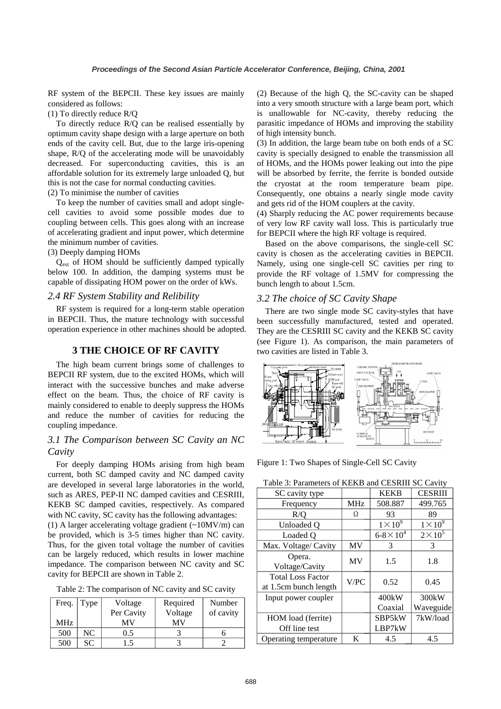RF system of the BEPCII. These key issues are mainly considered as follows:

(1) To directly reduce R/Q

To directly reduce R/Q can be realised essentially by optimum cavity shape design with a large aperture on both ends of the cavity cell. But, due to the large iris-opening shape, R/Q of the accelerating mode will be unavoidably decreased. For superconducting cavities, this is an affordable solution for its extremely large unloaded Q, but this is not the case for normal conducting cavities.

(2) To minimise the number of cavities

To keep the number of cavities small and adopt singlecell cavities to avoid some possible modes due to coupling between cells. This goes along with an increase of accelerating gradient and input power, which determine the minimum number of cavities.

(3) Deeply damping HOMs

 $Q_{ext}$  of HOM should be sufficiently damped typically below 100. In addition, the damping systems must be capable of dissipating HOM power on the order of kWs.

## *2.4 RF System Stability and Relibility*

RF system is required for a long-term stable operation in BEPCII. Thus, the mature technology with successful operation experience in other machines should be adopted.

# **3 THE CHOICE OF RF CAVITY**

The high beam current brings some of challenges to BEPCII RF system, due to the excited HOMs, which will interact with the successive bunches and make adverse effect on the beam. Thus, the choice of RF cavity is mainly considered to enable to deeply suppress the HOMs and reduce the number of cavities for reducing the coupling impedance.

# *3.1 The Comparison between SC Cavity an NC Cavity*

For deeply damping HOMs arising from high beam current, both SC damped cavity and NC damped cavity are developed in several large laboratories in the world, such as ARES, PEP-II NC damped cavities and CESRIII, KEKB SC damped cavities, respectively. As compared with NC cavity, SC cavity has the following advantages:

(1) A larger accelerating voltage gradient (~10MV/m) can be provided, which is 3-5 times higher than NC cavity. Thus, for the given total voltage the number of cavities can be largely reduced, which results in lower machine impedance. The comparison between NC cavity and SC cavity for BEPCII are shown in Table 2.

Table 2: The comparison of NC cavity and SC cavity

| Freq. | Type | Voltage    | Required | Number    |
|-------|------|------------|----------|-----------|
|       |      | Per Cavity | Voltage  | of cavity |
| MHz.  |      | MV         | MV       |           |
| 500   | NC   | 0.5        |          |           |
| 500   | SС   | $\cdot$ .5 |          |           |

(2) Because of the high Q, the SC-cavity can be shaped into <sup>a</sup> very smooth structure with <sup>a</sup> large beam port, which is unallowable for NC-cavity, thereby reducing the parasitic impedance of HOMs and improving the stability of high intensity bunch.

(3) In addition, the large beam tube on both ends of <sup>a</sup> SC cavity is specially designed to enable the transmission all of HOMs, and the HOMs power leaking out into the pipe will be absorbed by ferrite, the ferrite is bonded outside the cryostat at the room temperature beam pipe. Consequently, one obtains <sup>a</sup> nearly single mode cavity and gets rid of the HOM couplers at the cavity.

(4) Sharply reducing the AC power requirements because of very low RF cavity wall loss. This is particularly true for BEPCII where the high RF voltage is required.

Based on the above comparisons, the single-cell SC cavity is chosen as the accelerating cavities in BEPCII. Namely, using one single-cell SC cavities per ring to provide the RF voltage of 1.5MV for compressing the bunch length to about 1.5cm.

# *3.2 The choice of SC Cavity Shape*

There are two single mode SC cavity-styles that have been successfully manufactured, tested and operated. They are the CESRIII SC cavity and the KEKB SC cavity (see Figure 1). As comparison, the main parameters of two cavities are listed in Table 3.



Figure 1: Two Shapes of Single-Cell SC Cavity

| Table 3: Parameters of KEKB and CESRIII SC Cavity |            |                       |                    |  |
|---------------------------------------------------|------------|-----------------------|--------------------|--|
| SC cavity type                                    |            | <b>KEKB</b>           | <b>CESRIII</b>     |  |
| Frequency                                         | <b>MHz</b> | 508.887               | 499.765            |  |
| R/O                                               | Ω          | 93                    | 89                 |  |
| Unloaded O                                        |            | $1 \times 10^9$       | $1 \times 10^9$    |  |
| Loaded O                                          |            | $6 - 8 \times 10^{4}$ | $2\times10^5$      |  |
| Max. Voltage/ Cavity                              | MV         | 3                     | 3                  |  |
| Opera.                                            | MV         | 1.5                   | 1.8                |  |
| Voltage/Cavity                                    |            |                       |                    |  |
| <b>Total Loss Factor</b>                          | V/PC       | 0.52                  | 0.45               |  |
| at 1.5cm bunch length                             |            |                       |                    |  |
| Input power coupler                               |            | 400kW                 | 300 <sub>k</sub> W |  |
|                                                   |            | Coaxial               | Waveguide          |  |
| HOM load (ferrite)                                |            | SBP5kW                | 7kW/load           |  |
| Off line test                                     |            | LBP7kW                |                    |  |
| Operating temperature                             | K          | 4.5                   | 4.5                |  |